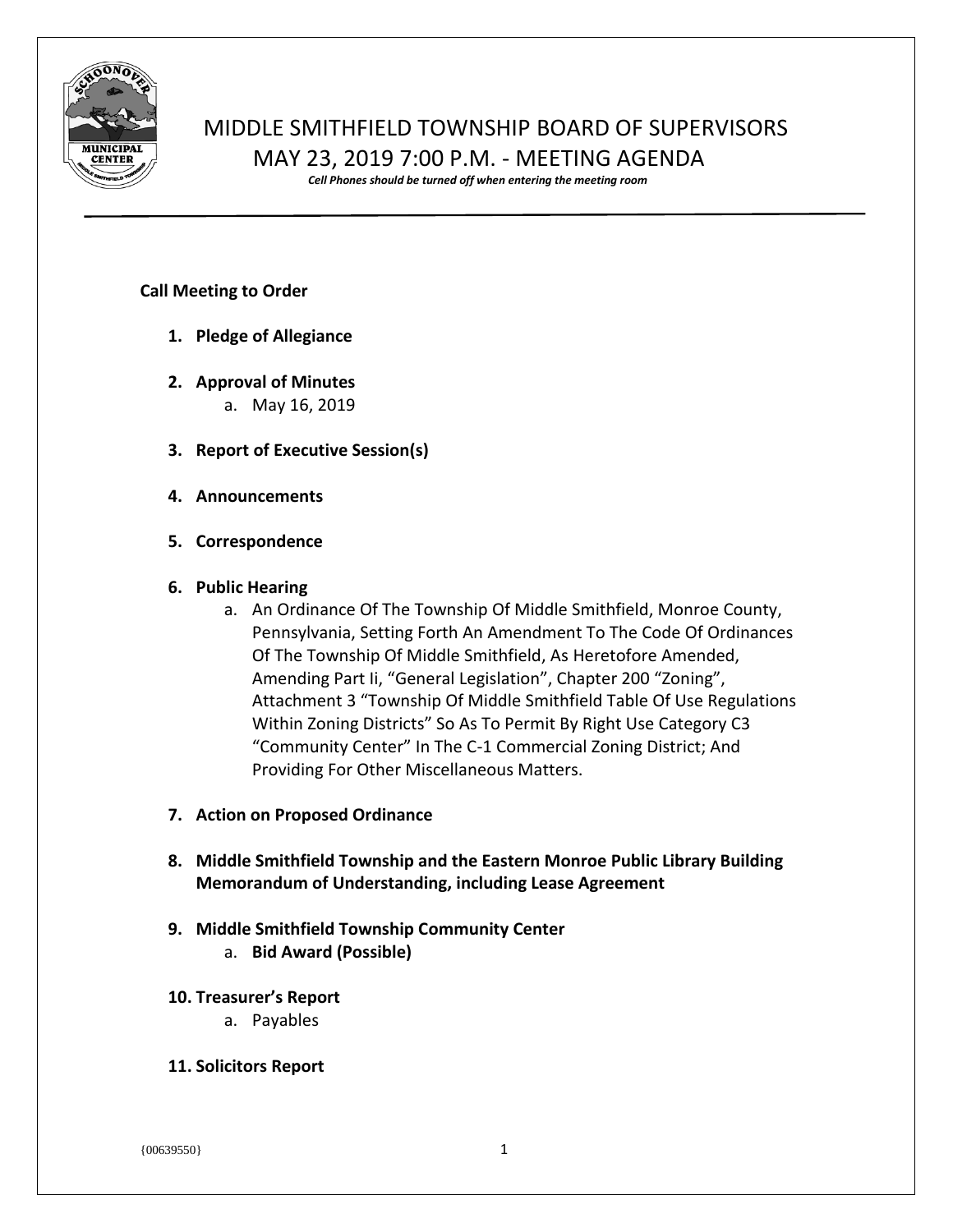

# MIDDLE SMITHFIELD TOWNSHIP BOARD OF SUPERVISORS MAY 23, 2019 7:00 P.M. - MEETING AGENDA

*Cell Phones should be turned off when entering the meeting room*

# **Call Meeting to Order**

- **1. Pledge of Allegiance**
- **2. Approval of Minutes** a. May 16, 2019
- **3. Report of Executive Session(s)**
- **4. Announcements**
- **5. Correspondence**

# **6. Public Hearing**

- a. An Ordinance Of The Township Of Middle Smithfield, Monroe County, Pennsylvania, Setting Forth An Amendment To The Code Of Ordinances Of The Township Of Middle Smithfield, As Heretofore Amended, Amending Part Ii, "General Legislation", Chapter 200 "Zoning", Attachment 3 "Township Of Middle Smithfield Table Of Use Regulations Within Zoning Districts" So As To Permit By Right Use Category C3 "Community Center" In The C-1 Commercial Zoning District; And Providing For Other Miscellaneous Matters.
- **7. Action on Proposed Ordinance**
- **8. Middle Smithfield Township and the Eastern Monroe Public Library Building Memorandum of Understanding, including Lease Agreement**

# **9. Middle Smithfield Township Community Center**

- a. **Bid Award (Possible)**
- **10. Treasurer's Report**
	- a. Payables
- **11. Solicitors Report**

{00639550} 1